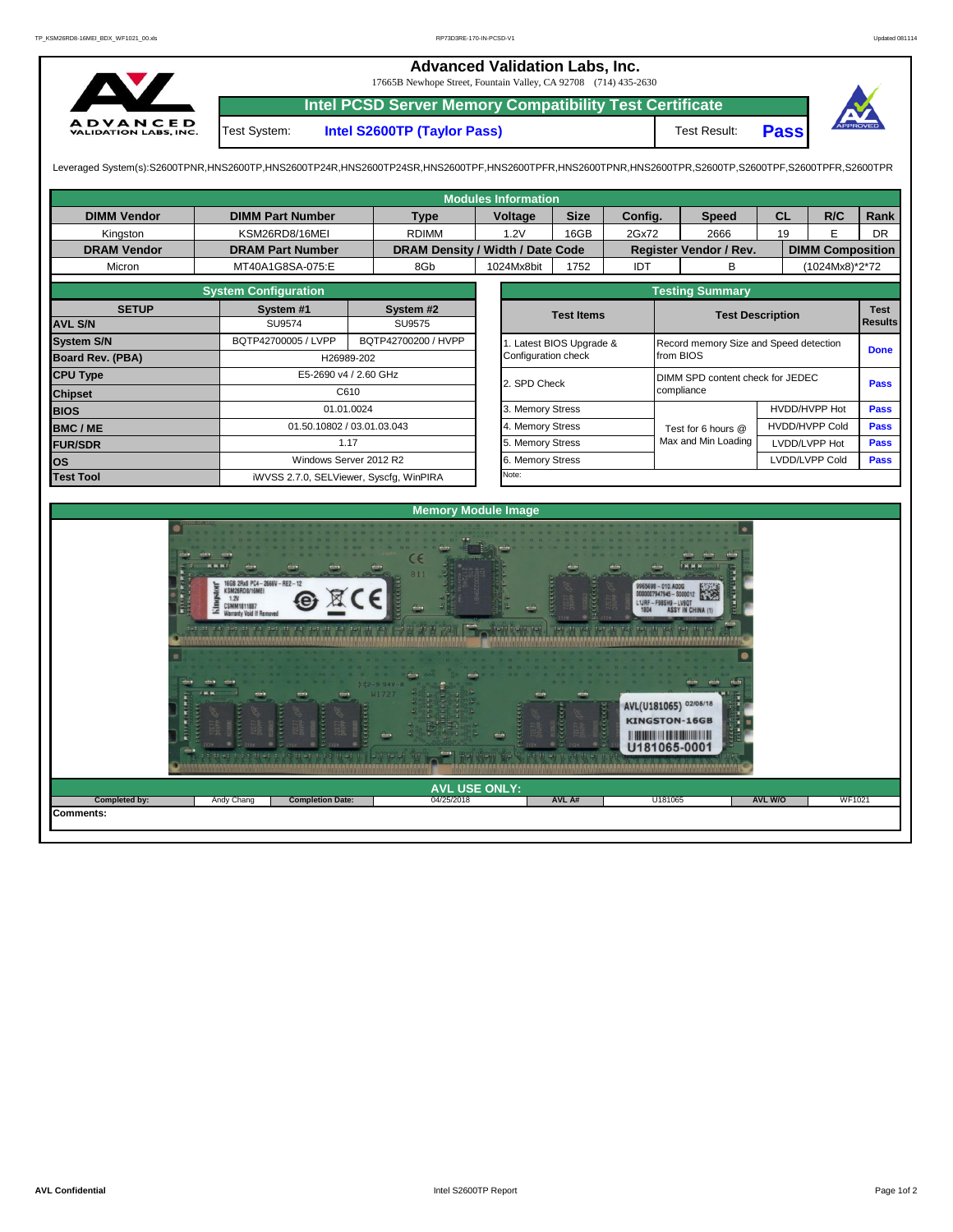**Advanced Validation Labs, Inc.**  17665B Newhope Street, Fountain Valley, CA 92708 (714) 435-2630 **Intel PCSD Server Memory Compatibility Test Certificate** A D V A N C E D<br>VALIDATION LABS, INC. Test System: **Intel S2600TP (Taylor Pass)** Test Result: **Pass** Leveraged System(s):S2600TPNR,HNS2600TP,HNS2600TP24R,HNS2600TP24SR,HNS2600TPF,HNS2600TPRR,HNS2600TPR,S2600TPR,S2600TPR,S2600TPR,S2600TPR,S2600TPFR,S2600TPFR,S2600TPR

|                         |                             |                                         | <b>Modules Information</b> |                       |                                     |                                           |                       |                |           |  |  |  |  |  |
|-------------------------|-----------------------------|-----------------------------------------|----------------------------|-----------------------|-------------------------------------|-------------------------------------------|-----------------------|----------------|-----------|--|--|--|--|--|
| <b>DIMM Vendor</b>      | <b>DIMM Part Number</b>     | <b>Type</b>                             | Voltage                    | <b>Size</b>           | Config.                             | <b>Speed</b>                              | <b>CL</b>             | R/C            | Rank      |  |  |  |  |  |
| Kingston                | KSM26RD8/16MEI              | <b>RDIMM</b>                            | 1.2V                       | 16GB                  | 2Gx72                               | 2666                                      | 19                    | E              | <b>DR</b> |  |  |  |  |  |
| <b>DRAM Vendor</b>      | <b>DRAM Part Number</b>     | DRAM Density / Width / Date Code        |                            |                       | Register Vendor / Rev.              | <b>DIMM Composition</b>                   |                       |                |           |  |  |  |  |  |
| Micron                  | MT40A1G8SA-075:E            | 8Gb                                     | 1024Mx8bit                 | 1752                  |                                     | в                                         | (1024Mx8)*2*72        |                |           |  |  |  |  |  |
|                         | <b>System Configuration</b> | <b>Testing Summary</b>                  |                            |                       |                                     |                                           |                       |                |           |  |  |  |  |  |
| <b>SETUP</b>            | System #1                   | System #2                               |                            | <b>Test Items</b>     |                                     |                                           |                       | <b>Test</b>    |           |  |  |  |  |  |
| <b>AVL S/N</b>          | <b>SU9574</b>               | SU9575                                  |                            |                       |                                     | <b>Test Description</b><br><b>Results</b> |                       |                |           |  |  |  |  |  |
| <b>System S/N</b>       | BQTP42700005 / LVPP         | BQTP42700200 / HVPP                     |                            | Latest BIOS Upgrade & |                                     | Record memory Size and Speed detection    |                       | <b>Done</b>    |           |  |  |  |  |  |
| <b>Board Rev. (PBA)</b> |                             | H26989-202                              | Configuration check        |                       |                                     | from BIOS                                 |                       |                |           |  |  |  |  |  |
| <b>CPU Type</b>         |                             | E5-2690 v4 / 2.60 GHz                   | 2. SPD Check               |                       |                                     | DIMM SPD content check for JEDEC<br>Pass  |                       |                |           |  |  |  |  |  |
| <b>Chipset</b>          |                             | C610                                    |                            |                       |                                     | compliance                                |                       |                |           |  |  |  |  |  |
| <b>BIOS</b>             |                             | 01.01.0024                              | 3. Memory Stress           |                       |                                     |                                           | HVDD/HVPP Hot         | <b>Pass</b>    |           |  |  |  |  |  |
| <b>BMC/ME</b>           |                             | 01.50.10802 / 03.01.03.043              | 4. Memory Stress           |                       |                                     | Test for 6 hours @                        | <b>HVDD/HVPP Cold</b> |                | Pass      |  |  |  |  |  |
| <b>FUR/SDR</b>          |                             | 1.17                                    | 5. Memory Stress           |                       |                                     | Max and Min Loading                       | LVDD/LVPP Hot         |                | Pass      |  |  |  |  |  |
| <b>los</b>              |                             | Windows Server 2012 R2                  | 6. Memory Stress           |                       |                                     |                                           |                       | LVDD/LVPP Cold | Pass      |  |  |  |  |  |
| <b>Test Tool</b>        |                             | iWVSS 2.7.0, SELViewer, Syscfg, WinPIRA | Note:                      |                       |                                     |                                           |                       |                |           |  |  |  |  |  |
|                         |                             |                                         |                            |                       |                                     |                                           |                       |                |           |  |  |  |  |  |
|                         |                             |                                         | <b>Memory Module Image</b> |                       |                                     |                                           |                       |                |           |  |  |  |  |  |
|                         |                             |                                         |                            |                       | 0 0 - 0 0 - 0 0 - 0 0 - 0 0 - 0 0 - |                                           |                       |                |           |  |  |  |  |  |